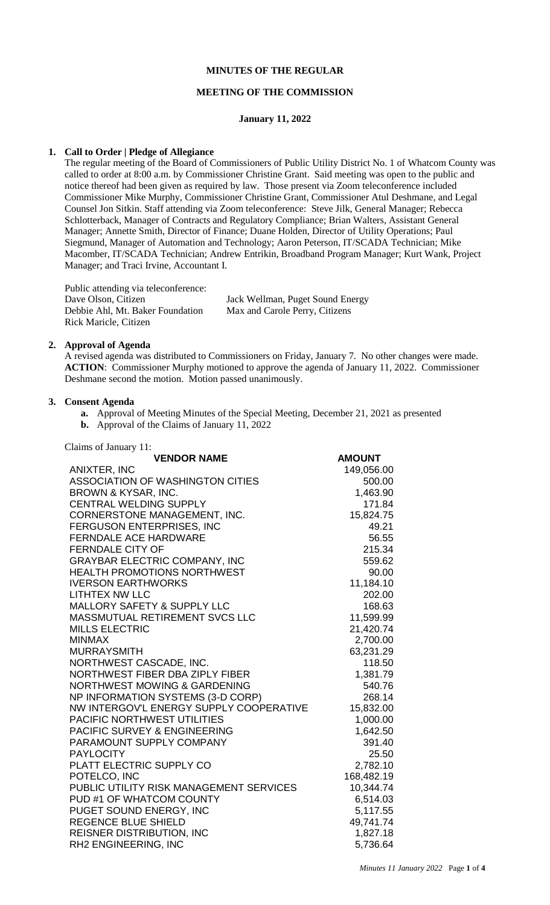## **MINUTES OF THE REGULAR**

#### **MEETING OF THE COMMISSION**

#### **January 11, 2022**

#### **1. Call to Order | Pledge of Allegiance**

The regular meeting of the Board of Commissioners of Public Utility District No. 1 of Whatcom County was called to order at 8:00 a.m. by Commissioner Christine Grant. Said meeting was open to the public and notice thereof had been given as required by law. Those present via Zoom teleconference included Commissioner Mike Murphy, Commissioner Christine Grant, Commissioner Atul Deshmane, and Legal Counsel Jon Sitkin. Staff attending via Zoom teleconference: Steve Jilk, General Manager; Rebecca Schlotterback, Manager of Contracts and Regulatory Compliance; Brian Walters, Assistant General Manager; Annette Smith, Director of Finance; Duane Holden, Director of Utility Operations; Paul Siegmund, Manager of Automation and Technology; Aaron Peterson, IT/SCADA Technician; Mike Macomber, IT/SCADA Technician; Andrew Entrikin, Broadband Program Manager; Kurt Wank, Project Manager; and Traci Irvine, Accountant I.

Public attending via teleconference: Dave Olson, Citizen Jack Wellman, Puget Sound Energy Debbie Ahl, Mt. Baker Foundation Max and Carole Perry, Citizens Rick Maricle, Citizen

#### **2. Approval of Agenda**

A revised agenda was distributed to Commissioners on Friday, January 7. No other changes were made. **ACTION**: Commissioner Murphy motioned to approve the agenda of January 11, 2022. Commissioner Deshmane second the motion. Motion passed unanimously.

#### **3. Consent Agenda**

- **a.** Approval of Meeting Minutes of the Special Meeting, December 21, 2021 as presented
- **b.** Approval of the Claims of January 11, 2022

| Claims of January 11:                   |               |
|-----------------------------------------|---------------|
| <b>VENDOR NAME</b>                      | <b>AMOUNT</b> |
| ANIXTER, INC                            | 149,056.00    |
| <b>ASSOCIATION OF WASHINGTON CITIES</b> | 500.00        |
| BROWN & KYSAR, INC.                     | 1,463.90      |
| <b>CENTRAL WELDING SUPPLY</b>           | 171.84        |
| CORNERSTONE MANAGEMENT, INC.            | 15,824.75     |
| FERGUSON ENTERPRISES, INC               | 49.21         |
| <b>FERNDALE ACE HARDWARE</b>            | 56.55         |
| <b>FERNDALE CITY OF</b>                 | 215.34        |
| <b>GRAYBAR ELECTRIC COMPANY, INC</b>    | 559.62        |
| <b>HEALTH PROMOTIONS NORTHWEST</b>      | 90.00         |
| <b>IVERSON EARTHWORKS</b>               | 11,184.10     |
| <b>LITHTEX NW LLC</b>                   | 202.00        |
| <b>MALLORY SAFETY &amp; SUPPLY LLC</b>  | 168.63        |
| MASSMUTUAL RETIREMENT SVCS LLC          | 11,599.99     |
| <b>MILLS ELECTRIC</b>                   | 21,420.74     |
| <b>MINMAX</b>                           | 2,700.00      |
| <b>MURRAYSMITH</b>                      | 63,231.29     |
| NORTHWEST CASCADE, INC.                 | 118.50        |
| NORTHWEST FIBER DBA ZIPLY FIBER         | 1,381.79      |
| NORTHWEST MOWING & GARDENING            | 540.76        |
| NP INFORMATION SYSTEMS (3-D CORP)       | 268.14        |
| NW INTERGOV'L ENERGY SUPPLY COOPERATIVE | 15,832.00     |
| PACIFIC NORTHWEST UTILITIES             | 1,000.00      |
| PACIFIC SURVEY & ENGINEERING            | 1,642.50      |
| PARAMOUNT SUPPLY COMPANY                | 391.40        |
| <b>PAYLOCITY</b>                        | 25.50         |
| PLATT ELECTRIC SUPPLY CO                | 2,782.10      |
| POTELCO, INC                            | 168,482.19    |
| PUBLIC UTILITY RISK MANAGEMENT SERVICES | 10,344.74     |
| PUD #1 OF WHATCOM COUNTY                | 6,514.03      |
| PUGET SOUND ENERGY, INC                 | 5,117.55      |
| REGENCE BLUE SHIELD                     | 49,741.74     |
| <b>REISNER DISTRIBUTION, INC</b>        | 1,827.18      |
| RH2 ENGINEERING, INC                    | 5,736.64      |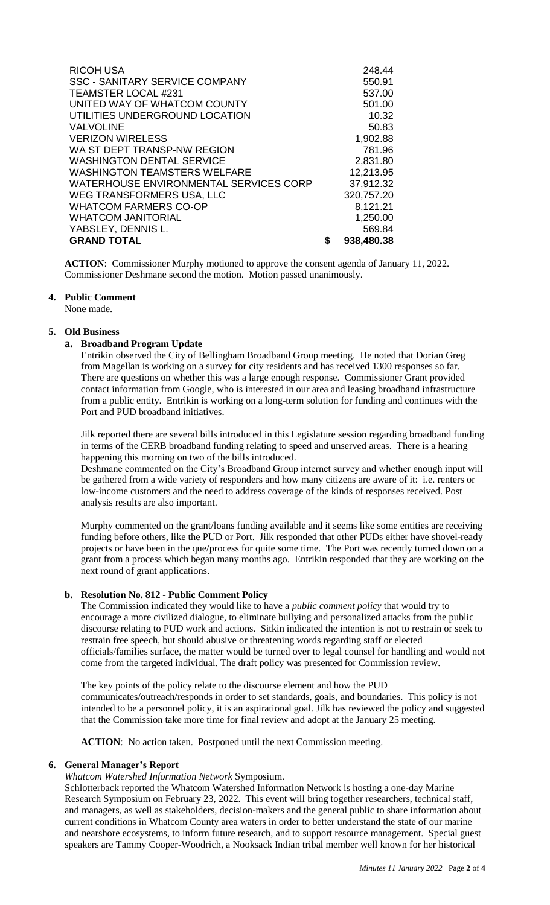| <b>RICOH USA</b><br><b>SSC - SANITARY SERVICE COMPANY</b><br><b>TEAMSTER LOCAL #231</b><br>UNITED WAY OF WHATCOM COUNTY<br>UTILITIES UNDERGROUND LOCATION | 248.44<br>550.91<br>537.00<br>501.00<br>10.32 |
|-----------------------------------------------------------------------------------------------------------------------------------------------------------|-----------------------------------------------|
| <b>VALVOLINE</b>                                                                                                                                          | 50.83                                         |
| <b>VERIZON WIRELESS</b>                                                                                                                                   | 1,902.88                                      |
| WA ST DEPT TRANSP-NW REGION                                                                                                                               | 781.96                                        |
| <b>WASHINGTON DENTAL SERVICE</b>                                                                                                                          | 2,831.80                                      |
| <b>WASHINGTON TEAMSTERS WELFARE</b>                                                                                                                       | 12,213.95                                     |
| WATERHOUSE ENVIRONMENTAL SERVICES CORP                                                                                                                    | 37,912.32                                     |
| WEG TRANSFORMERS USA, LLC                                                                                                                                 | 320,757.20                                    |
| <b>WHATCOM FARMERS CO-OP</b>                                                                                                                              | 8,121.21                                      |
| <b>WHATCOM JANITORIAL</b>                                                                                                                                 | 1,250.00                                      |
| YABSLEY, DENNIS L.                                                                                                                                        | 569.84                                        |
| <b>GRAND TOTAL</b>                                                                                                                                        | 938,480.38                                    |

**ACTION**: Commissioner Murphy motioned to approve the consent agenda of January 11, 2022. Commissioner Deshmane second the motion. Motion passed unanimously.

#### **4. Public Comment**

None made.

#### **5. Old Business**

## **a. Broadband Program Update**

Entrikin observed the City of Bellingham Broadband Group meeting. He noted that Dorian Greg from Magellan is working on a survey for city residents and has received 1300 responses so far. There are questions on whether this was a large enough response. Commissioner Grant provided contact information from Google, who is interested in our area and leasing broadband infrastructure from a public entity. Entrikin is working on a long-term solution for funding and continues with the Port and PUD broadband initiatives.

Jilk reported there are several bills introduced in this Legislature session regarding broadband funding in terms of the CERB broadband funding relating to speed and unserved areas. There is a hearing happening this morning on two of the bills introduced.

Deshmane commented on the City's Broadband Group internet survey and whether enough input will be gathered from a wide variety of responders and how many citizens are aware of it: i.e. renters or low-income customers and the need to address coverage of the kinds of responses received. Post analysis results are also important.

Murphy commented on the grant/loans funding available and it seems like some entities are receiving funding before others, like the PUD or Port. Jilk responded that other PUDs either have shovel-ready projects or have been in the que/process for quite some time. The Port was recently turned down on a grant from a process which began many months ago. Entrikin responded that they are working on the next round of grant applications.

# **b. Resolution No. 812 - Public Comment Policy**

The Commission indicated they would like to have a *public comment policy* that would try to encourage a more civilized dialogue, to eliminate bullying and personalized attacks from the public discourse relating to PUD work and actions. Sitkin indicated the intention is not to restrain or seek to restrain free speech, but should abusive or threatening words regarding staff or elected officials/families surface, the matter would be turned over to legal counsel for handling and would not come from the targeted individual. The draft policy was presented for Commission review.

The key points of the policy relate to the discourse element and how the PUD communicates/outreach/responds in order to set standards, goals, and boundaries. This policy is not intended to be a personnel policy, it is an aspirational goal. Jilk has reviewed the policy and suggested that the Commission take more time for final review and adopt at the January 25 meeting.

**ACTION**: No action taken. Postponed until the next Commission meeting.

## **6. General Manager's Report**

# *Whatcom Watershed Information Network* Symposium.

Schlotterback reported the Whatcom Watershed Information Network is hosting a one-day Marine Research Symposium on February 23, 2022. This event will bring together researchers, technical staff, and managers, as well as stakeholders, decision-makers and the general public to share information about current conditions in Whatcom County area waters in order to better understand the state of our marine and nearshore ecosystems, to inform future research, and to support resource management. Special guest speakers are Tammy Cooper-Woodrich, a Nooksack Indian tribal member well known for her historical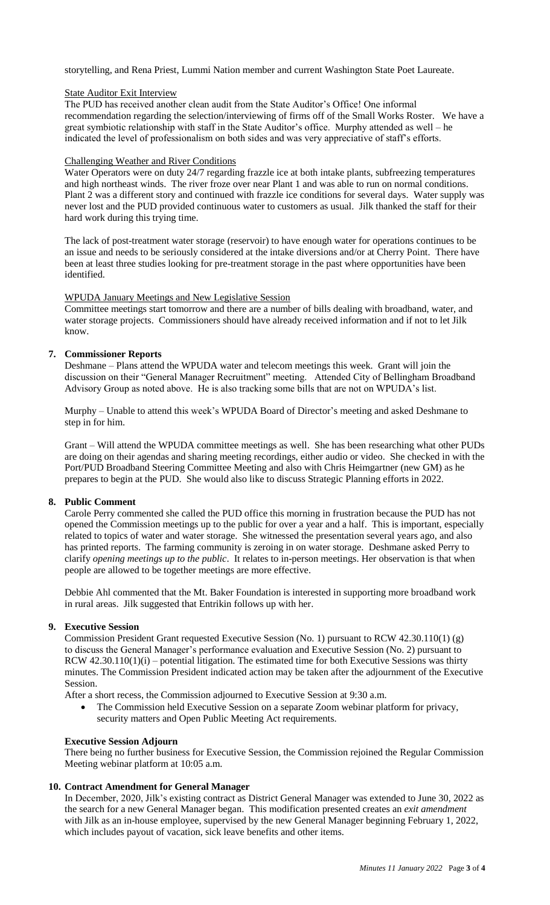storytelling, and Rena Priest, Lummi Nation member and current Washington State Poet Laureate.

#### State Auditor Exit Interview

The PUD has received another clean audit from the State Auditor's Office! One informal recommendation regarding the selection/interviewing of firms off of the Small Works Roster. We have a great symbiotic relationship with staff in the State Auditor's office. Murphy attended as well – he indicated the level of professionalism on both sides and was very appreciative of staff's efforts.

#### Challenging Weather and River Conditions

Water Operators were on duty 24/7 regarding frazzle ice at both intake plants, subfreezing temperatures and high northeast winds. The river froze over near Plant 1 and was able to run on normal conditions. Plant 2 was a different story and continued with frazzle ice conditions for several days. Water supply was never lost and the PUD provided continuous water to customers as usual. Jilk thanked the staff for their hard work during this trying time.

The lack of post-treatment water storage (reservoir) to have enough water for operations continues to be an issue and needs to be seriously considered at the intake diversions and/or at Cherry Point. There have been at least three studies looking for pre-treatment storage in the past where opportunities have been identified.

## WPUDA January Meetings and New Legislative Session

Committee meetings start tomorrow and there are a number of bills dealing with broadband, water, and water storage projects. Commissioners should have already received information and if not to let Jilk know.

## **7. Commissioner Reports**

Deshmane – Plans attend the WPUDA water and telecom meetings this week. Grant will join the discussion on their "General Manager Recruitment" meeting. Attended City of Bellingham Broadband Advisory Group as noted above. He is also tracking some bills that are not on WPUDA's list.

Murphy – Unable to attend this week's WPUDA Board of Director's meeting and asked Deshmane to step in for him.

Grant – Will attend the WPUDA committee meetings as well. She has been researching what other PUDs are doing on their agendas and sharing meeting recordings, either audio or video. She checked in with the Port/PUD Broadband Steering Committee Meeting and also with Chris Heimgartner (new GM) as he prepares to begin at the PUD. She would also like to discuss Strategic Planning efforts in 2022.

## **8. Public Comment**

Carole Perry commented she called the PUD office this morning in frustration because the PUD has not opened the Commission meetings up to the public for over a year and a half. This is important, especially related to topics of water and water storage. She witnessed the presentation several years ago, and also has printed reports. The farming community is zeroing in on water storage. Deshmane asked Perry to clarify *opening meetings up to the public*. It relates to in-person meetings. Her observation is that when people are allowed to be together meetings are more effective.

Debbie Ahl commented that the Mt. Baker Foundation is interested in supporting more broadband work in rural areas. Jilk suggested that Entrikin follows up with her.

## **9. Executive Session**

Commission President Grant requested Executive Session (No. 1) pursuant to RCW 42.30.110(1) (g) to discuss the General Manager's performance evaluation and Executive Session (No. 2) pursuant to RCW  $42.30.110(1)(i)$  – potential litigation. The estimated time for both Executive Sessions was thirty minutes. The Commission President indicated action may be taken after the adjournment of the Executive Session.

After a short recess, the Commission adjourned to Executive Session at 9:30 a.m.

 The Commission held Executive Session on a separate Zoom webinar platform for privacy, security matters and Open Public Meeting Act requirements.

## **Executive Session Adjourn**

There being no further business for Executive Session, the Commission rejoined the Regular Commission Meeting webinar platform at 10:05 a.m.

## **10. Contract Amendment for General Manager**

In December, 2020, Jilk's existing contract as District General Manager was extended to June 30, 2022 as the search for a new General Manager began. This modification presented creates an *exit amendment* with Jilk as an in-house employee, supervised by the new General Manager beginning February 1, 2022, which includes payout of vacation, sick leave benefits and other items.